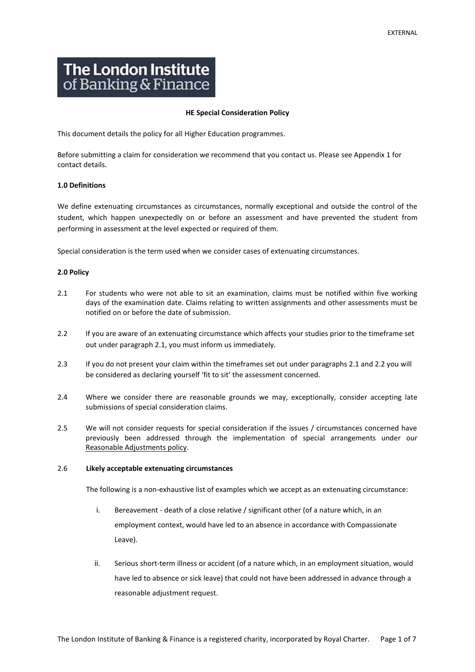# **The London Institute** of Banking & Finance

## **HE Special Consideration Policy**

This document details the policy for all Higher Education programmes.

Before submitting a claim for consideration we recommend that you contact us. Please see Appendix 1 for contact details.

# **1.0 Definitions**

We define extenuating circumstances as circumstances, normally exceptional and outside the control of the student, which happen unexpectedly on or before an assessment and have prevented the student from performing in assessment at the level expected or required of them.

Special consideration is the term used when we consider cases of extenuating circumstances.

# **2.0 Policy**

- 2.1 For students who were not able to sit an examination, claims must be notified within five working days of the examination date. Claims relating to written assignments and other assessments must be notified on or before the date of submission.
- 2.2 If you are aware of an extenuating circumstance which affects your studies prior to the timeframe set out under paragraph 2.1, you must inform us immediately.
- 2.3 If you do not present your claim within the timeframes set out under paragraphs 2.1 and 2.2 you will be considered as declaring yourself 'fit to sit' the assessment concerned.
- 2.4 Where we consider there are reasonable grounds we may, exceptionally, consider accepting late submissions of special consideration claims.
- 2.5 We will not consider requests for special consideration if the issues / circumstances concerned have previously been addressed through the implementation of special arrangements under our [Reasonable Adjustments policy.](https://www.libf.ac.uk/docs/default-source/HE/HE-Policies/he-reasonable-adjustment-policy.pdf?sfvrsn=8)

## 2.6 **Likely acceptable extenuating circumstances**

The following is a non-exhaustive list of examples which we accept as an extenuating circumstance:

- i. Bereavement death of a close relative / significant other (of a nature which, in an employment context, would have led to an absence in accordance with Compassionate Leave).
- ii. Serious short-term illness or accident (of a nature which, in an employment situation, would have led to absence or sick leave) that could not have been addressed in advance through a reasonable adjustment request.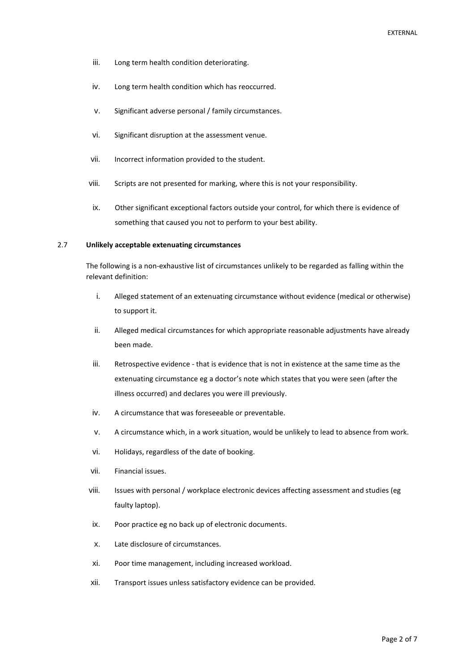- iii. Long term health condition deteriorating.
- iv. Long term health condition which has reoccurred.
- v. Significant adverse personal / family circumstances.
- vi. Significant disruption at the assessment venue.
- vii. Incorrect information provided to the student.
- viii. Scripts are not presented for marking, where this is not your responsibility.
- ix. Other significant exceptional factors outside your control, for which there is evidence of something that caused you not to perform to your best ability.

# 2.7 **Unlikely acceptable extenuating circumstances**

The following is a non-exhaustive list of circumstances unlikely to be regarded as falling within the relevant definition:

- i. Alleged statement of an extenuating circumstance without evidence (medical or otherwise) to support it.
- ii. Alleged medical circumstances for which appropriate reasonable adjustments have already been made.
- iii. Retrospective evidence that is evidence that is not in existence at the same time as the extenuating circumstance eg a doctor's note which states that you were seen (after the illness occurred) and declares you were ill previously.
- iv. A circumstance that was foreseeable or preventable.
- v. A circumstance which, in a work situation, would be unlikely to lead to absence from work.
- vi. Holidays, regardless of the date of booking.
- vii. Financial issues.
- viii. Issues with personal / workplace electronic devices affecting assessment and studies (eg faulty laptop).
- ix. Poor practice eg no back up of electronic documents.
- x. Late disclosure of circumstances.
- xi. Poor time management, including increased workload.
- xii. Transport issues unless satisfactory evidence can be provided.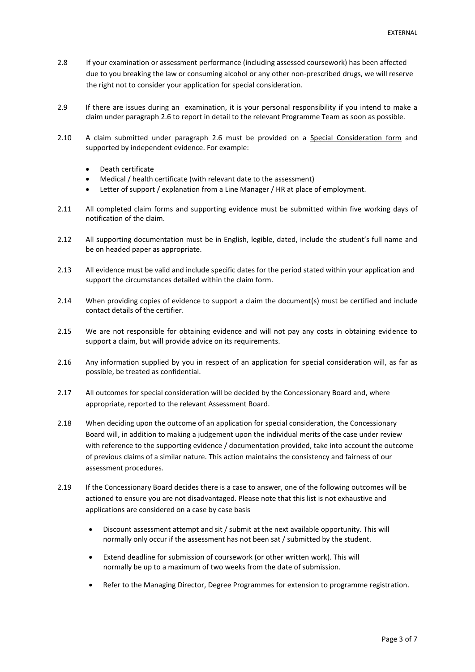- 2.8 If your examination or assessment performance (including assessed coursework) has been affected due to you breaking the law or consuming alcohol or any other non-prescribed drugs, we will reserve the right not to consider your application for special consideration.
- 2.9 If there are issues during an examination, it is your personal responsibility if you intend to make a claim under paragraph 2.6 to report in detail to the relevant Programme Team as soon as possible.
- 2.10 A claim submitted under paragraph 2.6 must be provided on a [Special Consideration form](https://www.libf.ac.uk/docs/default-source/HE/he-special-consideration-application-form.pdf?sfvrsn=6) and supported by independent evidence. For example:
	- Death certificate
	- Medical / health certificate (with relevant date to the assessment)
	- Letter of support / explanation from a Line Manager / HR at place of employment.
- 2.11 All completed claim forms and supporting evidence must be submitted within five working days of notification of the claim.
- 2.12 All supporting documentation must be in English, legible, dated, include the student's full name and be on headed paper as appropriate.
- 2.13 All evidence must be valid and include specific dates for the period stated within your application and support the circumstances detailed within the claim form.
- 2.14 When providing copies of evidence to support a claim the document(s) must be certified and include contact details of the certifier.
- 2.15 We are not responsible for obtaining evidence and will not pay any costs in obtaining evidence to support a claim, but will provide advice on its requirements.
- 2.16 Any information supplied by you in respect of an application for special consideration will, as far as possible, be treated as confidential.
- 2.17 All outcomes for special consideration will be decided by the Concessionary Board and, where appropriate, reported to the relevant Assessment Board.
- 2.18 When deciding upon the outcome of an application for special consideration, the Concessionary Board will, in addition to making a judgement upon the individual merits of the case under review with reference to the supporting evidence / documentation provided, take into account the outcome of previous claims of a similar nature. This action maintains the consistency and fairness of our assessment procedures.
- 2.19 If the Concessionary Board decides there is a case to answer, one of the following outcomes will be actioned to ensure you are not disadvantaged. Please note that this list is not exhaustive and applications are considered on a case by case basis
	- Discount assessment attempt and sit / submit at the next available opportunity. This will normally only occur if the assessment has not been sat / submitted by the student.
	- Extend deadline for submission of coursework (or other written work). This will normally be up to a maximum of two weeks from the date of submission.
	- Refer to the Managing Director, Degree Programmes for extension to programme registration.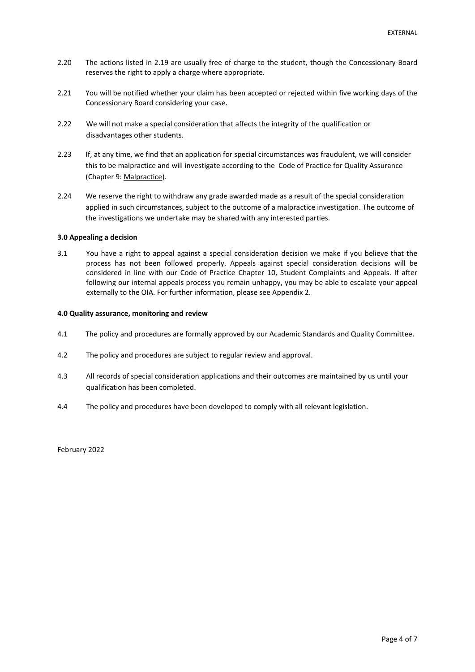- 2.20 The actions listed in 2.19 are usually free of charge to the student, though the Concessionary Board reserves the right to apply a charge where appropriate.
- 2.21 You will be notified whether your claim has been accepted or rejected within five working days of the Concessionary Board considering your case.
- 2.22 We will not make a special consideration that affects the integrity of the qualification or disadvantages other students.
- 2.23 If, at any time, we find that an application for special circumstances was fraudulent, we will consider this to be malpractice and will investigate according to the Code of Practice for Quality Assurance (Chapter 9: [Malpractice\)](https://www.libf.ac.uk/docs/default-source/About-us-docs/code-of-practice/chapter-9-malpractice-(asqc-24-may).pdf?sfvrsn=18).
- 2.24 We reserve the right to withdraw any grade awarded made as a result of the special consideration applied in such circumstances, subject to the outcome of a malpractice investigation. The outcome of the investigations we undertake may be shared with any interested parties.

### **3.0 Appealing a decision**

3.1 You have a right to appeal against a special consideration decision we make if you believe that the process has not been followed properly. Appeals against special consideration decisions will be considered in line with our Code of Practice Chapter 10, Student Complaints and Appeals. If after following our internal appeals process you remain unhappy, you may be able to escalate your appeal externally to the OIA. For further information, please see Appendix 2.

#### **4.0 Quality assurance, monitoring and review**

- 4.1 The policy and procedures are formally approved by our Academic Standards and Quality Committee.
- 4.2 The policy and procedures are subject to regular review and approval.
- 4.3 All records of special consideration applications and their outcomes are maintained by us until your qualification has been completed.
- 4.4 The policy and procedures have been developed to comply with all relevant legislation.

February 2022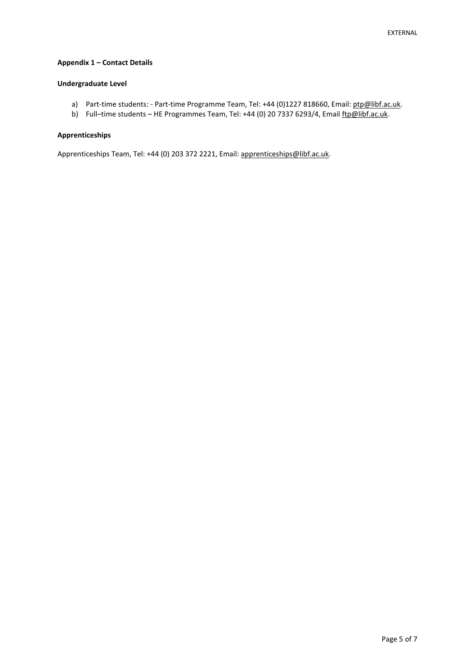# **Appendix 1 – Contact Details**

# **Undergraduate Level**

- a) Part-time students: Part-time Programme Team, Tel: +44 (0)1227 818660, Email[: ptp@libf.ac.uk.](mailto:ptp@libf.ac.uk)
- b) Full-time students HE Programmes Team, Tel: +44 (0) 20 7337 6293/4, Email [ftp@libf.ac.uk.](mailto:ftp@libf.ac.uk)

# **Apprenticeships**

Apprenticeships Team, Tel: +44 (0) 203 372 2221, Email: apprenticeships@libf.ac.uk.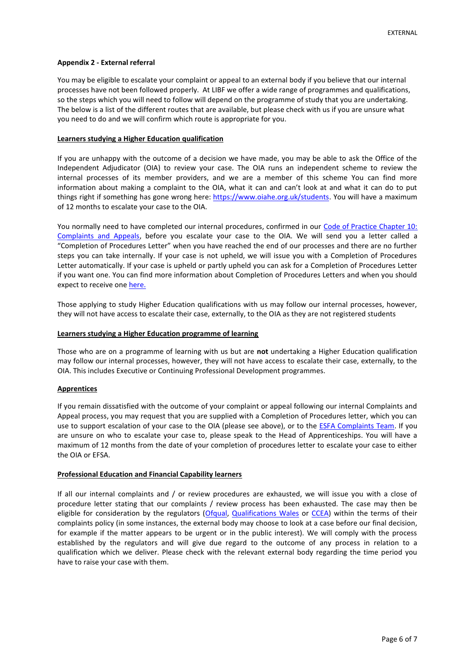# **Appendix 2 - External referral**

You may be eligible to escalate your complaint or appeal to an external body if you believe that our internal processes have not been followed properly. At LIBF we offer a wide range of programmes and qualifications, so the steps which you will need to follow will depend on the programme of study that you are undertaking. The below is a list of the different routes that are available, but please check with us if you are unsure what you need to do and we will confirm which route is appropriate for you.

### **Learners studying a Higher Education qualification**

If you are unhappy with the outcome of a decision we have made, you may be able to ask the Office of the Independent Adjudicator (OIA) to review your case. The OIA runs an independent scheme to review the internal processes of its member providers, and we are a member of this scheme You can find more information about making a complaint to the OIA, what it can and can't look at and what it can do to put things right if something has gone wrong here: [https://www.oiahe.org.uk/students.](https://www.oiahe.org.uk/students/) You will have a maximum of 12 months to escalate your case to the OIA.

You normally need to have completed our internal procedures, confirmed in our Code of Practice Chapter 10: [Complaints and Appeals,](https://www.libf.ac.uk/docs/default-source/about-us-docs/code-of-practice/chapter-10-complaints-and-appeals-(reviewed-july-2021-).pdf?sfvrsn=434268d_2) before you escalate your case to the OIA. We will send you a letter called a "Completion of Procedures Letter" when you have reached the end of our processes and there are no further steps you can take internally. If your case is not upheld, we will issue you with a Completion of Procedures Letter automatically. If your case is upheld or partly upheld you can ask for a Completion of Procedures Letter if you want one. You can find more information about Completion of Procedures Letters and when you should expect to receive on[e here.](https://www.oiahe.org.uk/providers/completion-of-procedures%20letters)

Those applying to study Higher Education qualifications with us may follow our internal processes, however, they will not have access to escalate their case, externally, to the OIA as they are not registered students

## **Learners studying a Higher Education programme of learning**

Those who are on a programme of learning with us but are **not** undertaking a Higher Education qualification may follow our internal processes, however, they will not have access to escalate their case, externally, to the OIA. This includes Executive or Continuing Professional Development programmes.

### **Apprentices**

If you remain dissatisfied with the outcome of your complaint or appeal following our internal Complaints and Appeal process, you may request that you are supplied with a Completion of Procedures letter, which you can use to support escalation of your case to the OIA (please see above), or to the [ESFA Complaints Team.](https://www.gov.uk/government/organisations/education-and-skills-funding-agency/about/complaints-procedure) If you are unsure on who to escalate your case to, please speak to the Head of Apprenticeships. You will have a maximum of 12 months from the date of your completion of procedures letter to escalate your case to either the OIA or EFSA.

### **Professional Education and Financial Capability learners**

If all our internal complaints and / or review procedures are exhausted, we will issue you with a close of procedure letter stating that our complaints / review process has been exhausted. The case may then be eligible for consideration by the regulators [\(Ofqual,](https://www.gov.uk/government/organisations/ofqual/about/complaints-procedure) [Qualifications Wales](https://www.qualificationswales.org/english/our-work/regulating-awarding-bodies/complaints-about-awarding-bodies/) or [CCEA\)](https://ccea.org.uk/contact/complaints) within the terms of their complaints policy (in some instances, the external body may choose to look at a case before our final decision, for example if the matter appears to be urgent or in the public interest). We will comply with the process established by the regulators and will give due regard to the outcome of any process in relation to a qualification which we deliver. Please check with the relevant external body regarding the time period you have to raise your case with them.